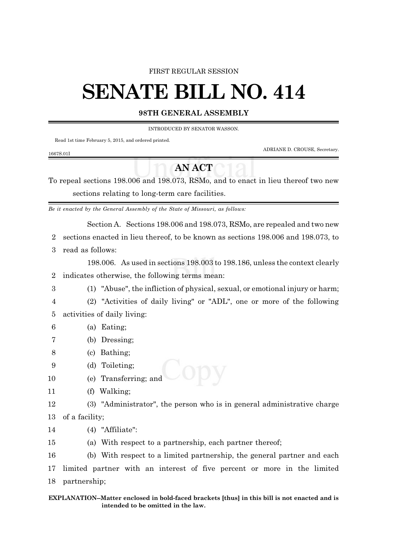#### FIRST REGULAR SESSION

# **SENATE BILL NO. 414**

### **98TH GENERAL ASSEMBLY**

INTRODUCED BY SENATOR WASSON.

Read 1st time February 5, 2015, and ordered printed.

ADRIANE D. CROUSE, Secretary.

#### 1667S.01I

## **AN ACT**

To repeal sections 198.006 and 198.073, RSMo, and to enact in lieu thereof two new sections relating to long-term care facilities.

*Be it enacted by the General Assembly of the State of Missouri, as follows:*

Section A. Sections 198.006 and 198.073, RSMo, are repealed and two new

2 sections enacted in lieu thereof, to be known as sections 198.006 and 198.073, to

3 read as follows:

198.006. As used in sections 198.003 to 198.186, unless the context clearly 2 indicates otherwise, the following terms mean:

3 (1) "Abuse", the infliction of physical, sexual, or emotional injury or harm;

- 4 (2) "Activities of daily living" or "ADL", one or more of the following 5 activities of daily living:
- 6 (a) Eating;
- 7 (b) Dressing;
- 8 (c) Bathing;
- 9 (d) Toileting;
- 10 (e) Transferring; and
- 11 (f) Walking;
- 12 (3) "Administrator", the person who is in general administrative charge 13 of a facility;
- 14 (4) "Affiliate":
- 15 (a) With respect to a partnership, each partner thereof;

16 (b) With respect to a limited partnership, the general partner and each 17 limited partner with an interest of five percent or more in the limited 18 partnership;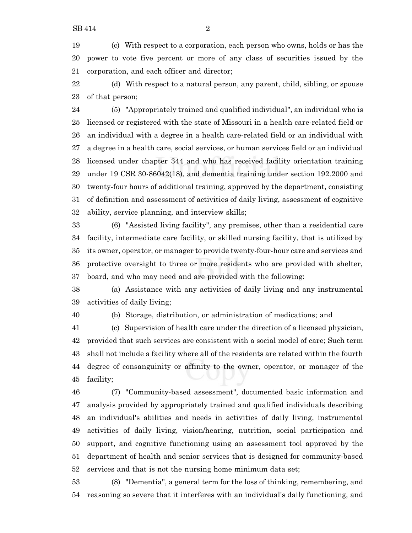(c) With respect to a corporation, each person who owns, holds or has the power to vote five percent or more of any class of securities issued by the corporation, and each officer and director;

 (d) With respect to a natural person, any parent, child, sibling, or spouse of that person;

 (5) "Appropriately trained and qualified individual", an individual who is licensed or registered with the state of Missouri in a health care-related field or an individual with a degree in a health care-related field or an individual with a degree in a health care, social services, or human services field or an individual licensed under chapter 344 and who has received facility orientation training under 19 CSR 30-86042(18), and dementia training under section 192.2000 and twenty-four hours of additional training, approved by the department, consisting of definition and assessment of activities of daily living, assessment of cognitive ability, service planning, and interview skills;

 (6) "Assisted living facility", any premises, other than a residential care facility, intermediate care facility, or skilled nursing facility, that is utilized by its owner, operator, or manager to provide twenty-four-hour care and services and protective oversight to three or more residents who are provided with shelter, board, and who may need and are provided with the following:

 (a) Assistance with any activities of daily living and any instrumental activities of daily living;

(b) Storage, distribution, or administration of medications; and

 (c) Supervision of health care under the direction of a licensed physician, provided that such services are consistent with a social model of care; Such term shall not include a facility where all of the residents are related within the fourth degree of consanguinity or affinity to the owner, operator, or manager of the facility;

 (7) "Community-based assessment", documented basic information and analysis provided by appropriately trained and qualified individuals describing an individual's abilities and needs in activities of daily living, instrumental activities of daily living, vision/hearing, nutrition, social participation and support, and cognitive functioning using an assessment tool approved by the department of health and senior services that is designed for community-based services and that is not the nursing home minimum data set;

 (8) "Dementia", a general term for the loss of thinking, remembering, and reasoning so severe that it interferes with an individual's daily functioning, and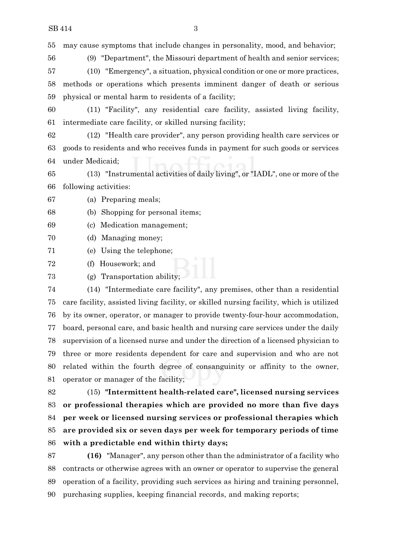may cause symptoms that include changes in personality, mood, and behavior;

(9) "Department", the Missouri department of health and senior services;

 (10) "Emergency", a situation, physical condition or one or more practices, methods or operations which presents imminent danger of death or serious physical or mental harm to residents of a facility;

 (11) "Facility", any residential care facility, assisted living facility, intermediate care facility, or skilled nursing facility;

 (12) "Health care provider", any person providing health care services or goods to residents and who receives funds in payment for such goods or services under Medicaid;

 (13) "Instrumental activities of daily living", or "IADL", one or more of the following activities:

(a) Preparing meals;

(b) Shopping for personal items;

(c) Medication management;

(d) Managing money;

(e) Using the telephone;

(f) Housework; and

(g) Transportation ability;

 (14) "Intermediate care facility", any premises, other than a residential care facility, assisted living facility, or skilled nursing facility, which is utilized by its owner, operator, or manager to provide twenty-four-hour accommodation, board, personal care, and basic health and nursing care services under the daily supervision of a licensed nurse and under the direction of a licensed physician to three or more residents dependent for care and supervision and who are not related within the fourth degree of consanguinity or affinity to the owner, operator or manager of the facility;

 (15) **"Intermittent health-related care", licensed nursing services or professional therapies which are provided no more than five days per week or licensed nursing services or professional therapies which are provided six or seven days per week for temporary periods of time with a predictable end within thirty days;**

 **(16)** "Manager", any person other than the administrator of a facility who contracts or otherwise agrees with an owner or operator to supervise the general operation of a facility, providing such services as hiring and training personnel, purchasing supplies, keeping financial records, and making reports;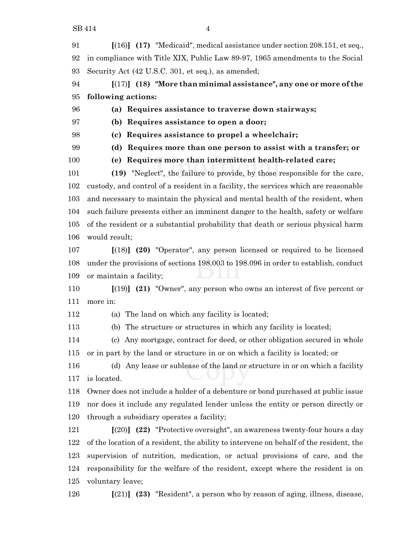**[**(16)**] (17)** "Medicaid", medical assistance under section 208.151, et seq., in compliance with Title XIX, Public Law 89-97, 1965 amendments to the Social Security Act (42 U.S.C. 301, et seq.), as amended;

 **[**(17)**] (18) "More than minimal assistance", any one or more of the following actions:**

**(a) Requires assistance to traverse down stairways;**

**(b) Requires assistance to open a door;**

**(c) Requires assistance to propel a wheelchair;**

**(d) Requires more than one person to assist with a transfer; or**

**(e) Requires more than intermittent health-related care;**

 **(19)** "Neglect", the failure to provide, by those responsible for the care, custody, and control of a resident in a facility, the services which are reasonable and necessary to maintain the physical and mental health of the resident, when such failure presents either an imminent danger to the health, safety or welfare of the resident or a substantial probability that death or serious physical harm would result;

 **[**(18)**] (20)** "Operator", any person licensed or required to be licensed under the provisions of sections 198.003 to 198.096 in order to establish, conduct or maintain a facility;

 **[**(19)**] (21)** "Owner", any person who owns an interest of five percent or more in:

(a) The land on which any facility is located;

(b) The structure or structures in which any facility is located;

 (c) Any mortgage, contract for deed, or other obligation secured in whole or in part by the land or structure in or on which a facility is located; or

 (d) Any lease or sublease of the land or structure in or on which a facility is located.

 Owner does not include a holder of a debenture or bond purchased at public issue nor does it include any regulated lender unless the entity or person directly or through a subsidiary operates a facility;

 **[**(20)**] (22)** "Protective oversight", an awareness twenty-four hours a day of the location of a resident, the ability to intervene on behalf of the resident, the supervision of nutrition, medication, or actual provisions of care, and the responsibility for the welfare of the resident, except where the resident is on voluntary leave;

**[**(21)**] (23)** "Resident", a person who by reason of aging, illness, disease,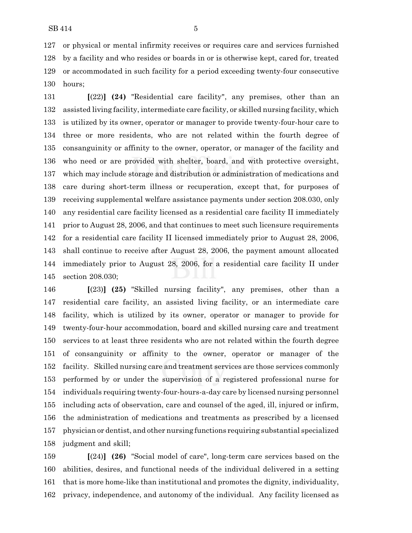or physical or mental infirmity receives or requires care and services furnished by a facility and who resides or boards in or is otherwise kept, cared for, treated or accommodated in such facility for a period exceeding twenty-four consecutive hours;

 **[**(22)**] (24)** "Residential care facility", any premises, other than an assisted living facility, intermediate care facility, or skilled nursing facility, which is utilized by its owner, operator or manager to provide twenty-four-hour care to three or more residents, who are not related within the fourth degree of consanguinity or affinity to the owner, operator, or manager of the facility and who need or are provided with shelter, board, and with protective oversight, which may include storage and distribution or administration of medications and care during short-term illness or recuperation, except that, for purposes of receiving supplemental welfare assistance payments under section 208.030, only any residential care facility licensed as a residential care facility II immediately prior to August 28, 2006, and that continues to meet such licensure requirements for a residential care facility II licensed immediately prior to August 28, 2006, shall continue to receive after August 28, 2006, the payment amount allocated immediately prior to August 28, 2006, for a residential care facility II under section 208.030;

 **[**(23)**] (25)** "Skilled nursing facility", any premises, other than a residential care facility, an assisted living facility, or an intermediate care facility, which is utilized by its owner, operator or manager to provide for twenty-four-hour accommodation, board and skilled nursing care and treatment services to at least three residents who are not related within the fourth degree of consanguinity or affinity to the owner, operator or manager of the facility. Skilled nursing care and treatment services are those services commonly performed by or under the supervision of a registered professional nurse for individuals requiring twenty-four-hours-a-day care by licensed nursing personnel including acts of observation, care and counsel of the aged, ill, injured or infirm, the administration of medications and treatments as prescribed by a licensed physician or dentist, and other nursing functions requiring substantial specialized judgment and skill;

 **[**(24)**] (26)** "Social model of care", long-term care services based on the abilities, desires, and functional needs of the individual delivered in a setting that is more home-like than institutional and promotes the dignity, individuality, privacy, independence, and autonomy of the individual. Any facility licensed as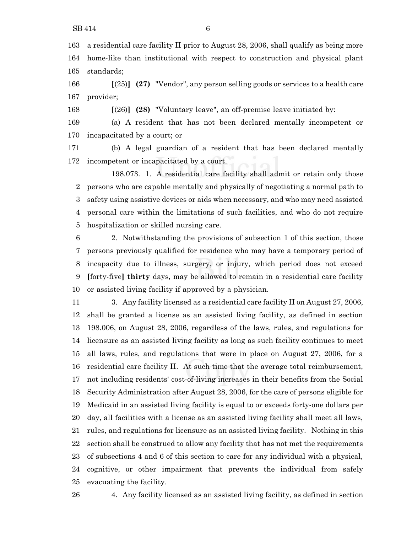a residential care facility II prior to August 28, 2006, shall qualify as being more home-like than institutional with respect to construction and physical plant standards;

 **[**(25)**] (27)** "Vendor", any person selling goods or services to a health care provider;

**[**(26)**] (28)** "Voluntary leave", an off-premise leave initiated by:

 (a) A resident that has not been declared mentally incompetent or incapacitated by a court; or

 (b) A legal guardian of a resident that has been declared mentally incompetent or incapacitated by a court.

198.073. 1. A residential care facility shall admit or retain only those persons who are capable mentally and physically of negotiating a normal path to safety using assistive devices or aids when necessary, and who may need assisted personal care within the limitations of such facilities, and who do not require hospitalization or skilled nursing care.

 2. Notwithstanding the provisions of subsection 1 of this section, those persons previously qualified for residence who may have a temporary period of incapacity due to illness, surgery, or injury, which period does not exceed **[**forty-five**] thirty** days, may be allowed to remain in a residential care facility or assisted living facility if approved by a physician.

 3. Any facility licensed as a residential care facility II on August 27, 2006, shall be granted a license as an assisted living facility, as defined in section 198.006, on August 28, 2006, regardless of the laws, rules, and regulations for licensure as an assisted living facility as long as such facility continues to meet all laws, rules, and regulations that were in place on August 27, 2006, for a residential care facility II. At such time that the average total reimbursement, not including residents' cost-of-living increases in their benefits from the Social Security Administration after August 28, 2006, for the care of persons eligible for Medicaid in an assisted living facility is equal to or exceeds forty-one dollars per day, all facilities with a license as an assisted living facility shall meet all laws, rules, and regulations for licensure as an assisted living facility. Nothing in this section shall be construed to allow any facility that has not met the requirements of subsections 4 and 6 of this section to care for any individual with a physical, cognitive, or other impairment that prevents the individual from safely evacuating the facility.

4. Any facility licensed as an assisted living facility, as defined in section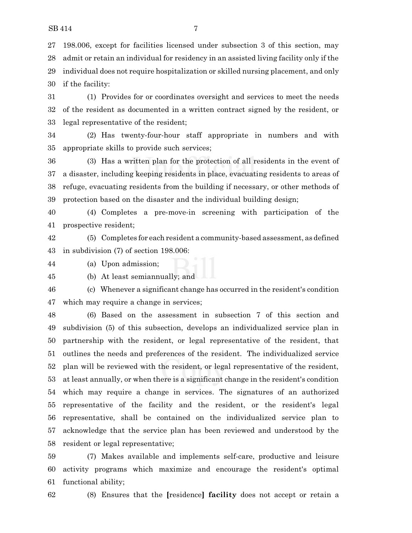198.006, except for facilities licensed under subsection 3 of this section, may admit or retain an individual for residency in an assisted living facility only if the individual does not require hospitalization or skilled nursing placement, and only if the facility:

 (1) Provides for or coordinates oversight and services to meet the needs of the resident as documented in a written contract signed by the resident, or legal representative of the resident;

 (2) Has twenty-four-hour staff appropriate in numbers and with appropriate skills to provide such services;

 (3) Has a written plan for the protection of all residents in the event of a disaster, including keeping residents in place, evacuating residents to areas of refuge, evacuating residents from the building if necessary, or other methods of protection based on the disaster and the individual building design;

 (4) Completes a pre-move-in screening with participation of the prospective resident;

 (5) Completes for each resident a community-based assessment, as defined in subdivision (7) of section 198.006:

(a) Upon admission;

(b) At least semiannually; and

 (c) Whenever a significant change has occurred in the resident's condition which may require a change in services;

 (6) Based on the assessment in subsection 7 of this section and subdivision (5) of this subsection, develops an individualized service plan in partnership with the resident, or legal representative of the resident, that outlines the needs and preferences of the resident. The individualized service plan will be reviewed with the resident, or legal representative of the resident, at least annually, or when there is a significant change in the resident's condition which may require a change in services. The signatures of an authorized representative of the facility and the resident, or the resident's legal representative, shall be contained on the individualized service plan to acknowledge that the service plan has been reviewed and understood by the resident or legal representative;

 (7) Makes available and implements self-care, productive and leisure activity programs which maximize and encourage the resident's optimal functional ability;

(8) Ensures that the **[**residence**] facility** does not accept or retain a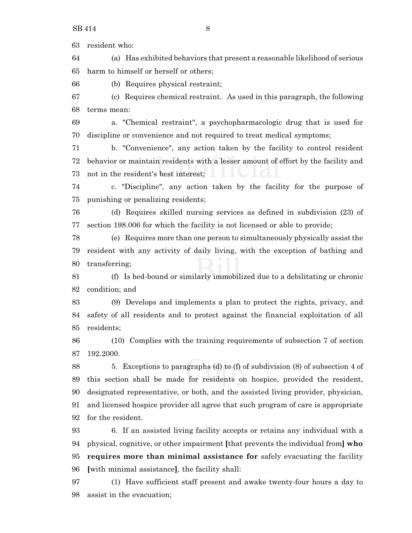resident who:

 (a) Has exhibited behaviors that present a reasonable likelihood of serious harm to himself or herself or others;

(b) Requires physical restraint;

 (c) Requires chemical restraint. As used in this paragraph, the following terms mean:

 a. "Chemical restraint", a psychopharmacologic drug that is used for discipline or convenience and not required to treat medical symptoms;

 b. "Convenience", any action taken by the facility to control resident behavior or maintain residents with a lesser amount of effort by the facility and not in the resident's best interest;

 c. "Discipline", any action taken by the facility for the purpose of punishing or penalizing residents;

 (d) Requires skilled nursing services as defined in subdivision (23) of section 198.006 for which the facility is not licensed or able to provide;

 (e) Requires more than one person to simultaneously physically assist the resident with any activity of daily living, with the exception of bathing and transferring;

 (f) Is bed-bound or similarly immobilized due to a debilitating or chronic condition; and

 (9) Develops and implements a plan to protect the rights, privacy, and safety of all residents and to protect against the financial exploitation of all residents;

 (10) Complies with the training requirements of subsection 7 of section 192.2000.

 5. Exceptions to paragraphs (d) to (f) of subdivision (8) of subsection 4 of this section shall be made for residents on hospice, provided the resident, designated representative, or both, and the assisted living provider, physician, and licensed hospice provider all agree that such program of care is appropriate for the resident.

 6. If an assisted living facility accepts or retains any individual with a physical, cognitive, or other impairment **[**that prevents the individual from**] who requires more than minimal assistance for** safely evacuating the facility **[**with minimal assistance**]**, the facility shall:

 (1) Have sufficient staff present and awake twenty-four hours a day to assist in the evacuation;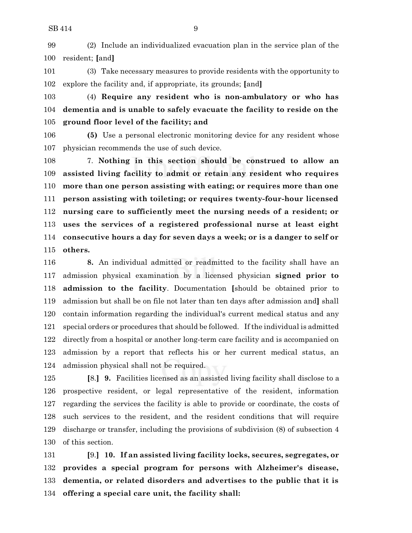(2) Include an individualized evacuation plan in the service plan of the resident; **[**and**]**

 (3) Take necessary measures to provide residents with the opportunity to explore the facility and, if appropriate, its grounds; **[**and**]**

 (4) **Require any resident who is non-ambulatory or who has dementia and is unable to safely evacuate the facility to reside on the ground floor level of the facility; and**

 **(5)** Use a personal electronic monitoring device for any resident whose physician recommends the use of such device.

 7. **Nothing in this section should be construed to allow an assisted living facility to admit or retain any resident who requires more than one person assisting with eating; or requires more than one person assisting with toileting; or requires twenty-four-hour licensed nursing care to sufficiently meet the nursing needs of a resident; or uses the services of a registered professional nurse at least eight consecutive hours a day for seven days a week; or is a danger to self or others.**

 **8.** An individual admitted or readmitted to the facility shall have an admission physical examination by a licensed physician **signed prior to admission to the facility**. Documentation **[**should be obtained prior to admission but shall be on file not later than ten days after admission and**]** shall contain information regarding the individual's current medical status and any special orders or procedures that should be followed. If the individual is admitted directly from a hospital or another long-term care facility and is accompanied on admission by a report that reflects his or her current medical status, an admission physical shall not be required.

 **[**8.**] 9.** Facilities licensed as an assisted living facility shall disclose to a prospective resident, or legal representative of the resident, information regarding the services the facility is able to provide or coordinate, the costs of such services to the resident, and the resident conditions that will require discharge or transfer, including the provisions of subdivision (8) of subsection 4 of this section.

 **[**9.**] 10. If an assisted living facility locks, secures, segregates, or provides a special program for persons with Alzheimer's disease, dementia, or related disorders and advertises to the public that it is offering a special care unit, the facility shall:**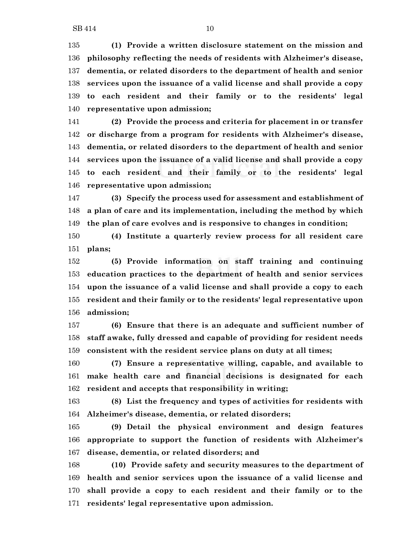**(1) Provide a written disclosure statement on the mission and philosophy reflecting the needs of residents with Alzheimer's disease, dementia, or related disorders to the department of health and senior services upon the issuance of a valid license and shall provide a copy to each resident and their family or to the residents' legal representative upon admission;**

 **(2) Provide the process and criteria for placement in or transfer or discharge from a program for residents with Alzheimer's disease, dementia, or related disorders to the department of health and senior services upon the issuance of a valid license and shall provide a copy to each resident and their family or to the residents' legal representative upon admission;**

 **(3) Specify the process used for assessment and establishment of a plan of care and its implementation, including the method by which the plan of care evolves and is responsive to changes in condition;**

 **(4) Institute a quarterly review process for all resident care plans;**

 **(5) Provide information on staff training and continuing education practices to the department of health and senior services upon the issuance of a valid license and shall provide a copy to each resident and their family or to the residents' legal representative upon admission;**

 **(6) Ensure that there is an adequate and sufficient number of staff awake, fully dressed and capable of providing for resident needs consistent with the resident service plans on duty at all times;**

 **(7) Ensure a representative willing, capable, and available to make health care and financial decisions is designated for each resident and accepts that responsibility in writing;**

 **(8) List the frequency and types of activities for residents with Alzheimer's disease, dementia, or related disorders;**

 **(9) Detail the physical environment and design features appropriate to support the function of residents with Alzheimer's disease, dementia, or related disorders; and**

 **(10) Provide safety and security measures to the department of health and senior services upon the issuance of a valid license and shall provide a copy to each resident and their family or to the residents' legal representative upon admission.**